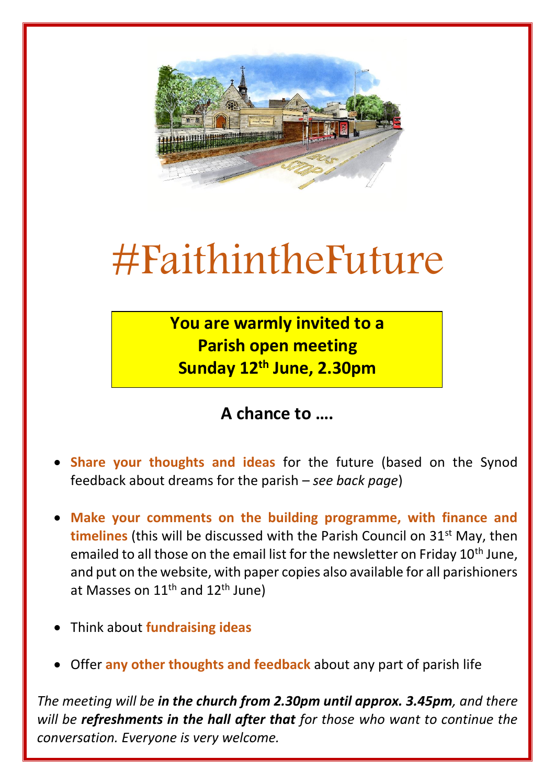

## #FaithintheFuture

**You are warmly invited to a Parish open meeting Sunday 12th June, 2.30pm** 

**A chance to ….** 

- **Share your thoughts and ideas** for the future (based on the Synod feedback about dreams for the parish – *see back page*)
- **Make your comments on the building programme, with finance and timelines** (this will be discussed with the Parish Council on 31<sup>st</sup> May, then emailed to all those on the email list for the newsletter on Friday 10<sup>th</sup> June, and put on the website, with paper copies also available for all parishioners at Masses on  $11<sup>th</sup>$  and  $12<sup>th</sup>$  June)
- Think about **fundraising ideas**
- Offer **any other thoughts and feedback** about any part of parish life

*The meeting will be in the church from 2.30pm until approx. 3.45pm, and there will be refreshments in the hall after that for those who want to continue the conversation. Everyone is very welcome.*